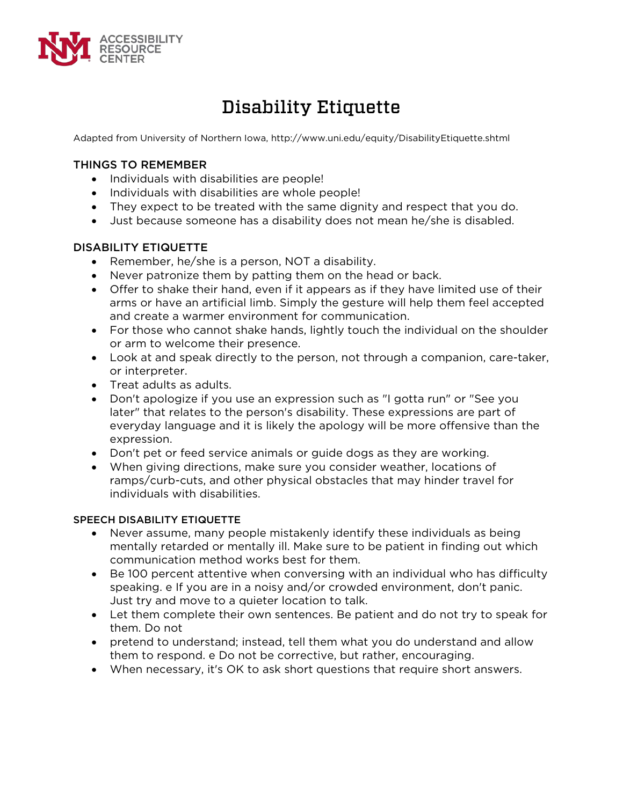

# Disability Etiquette

Adapted from University of Northern Iowa, http://www.uni.edu/equity/DisabilityEtiquette.shtml

## THINGS TO REMEMBER

- Individuals with disabilities are people!
- Individuals with disabilities are whole people!
- They expect to be treated with the same dignity and respect that you do.
- Just because someone has a disability does not mean he/she is disabled.

## DISABILITY ETIQUETTE

- Remember, he/she is a person, NOT a disability.
- Never patronize them by patting them on the head or back.
- Offer to shake their hand, even if it appears as if they have limited use of their arms or have an artificial limb. Simply the gesture will help them feel accepted and create a warmer environment for communication.
- For those who cannot shake hands, lightly touch the individual on the shoulder or arm to welcome their presence.
- Look at and speak directly to the person, not through a companion, care-taker, or interpreter.
- Treat adults as adults.
- Don't apologize if you use an expression such as "I gotta run" or "See you later" that relates to the person's disability. These expressions are part of everyday language and it is likely the apology will be more offensive than the expression.
- Don't pet or feed service animals or guide dogs as they are working.
- When giving directions, make sure you consider weather, locations of ramps/curb-cuts, and other physical obstacles that may hinder travel for individuals with disabilities.

#### SPEECH DISABILITY ETIQUETTE

- Never assume, many people mistakenly identify these individuals as being mentally retarded or mentally ill. Make sure to be patient in finding out which communication method works best for them.
- Be 100 percent attentive when conversing with an individual who has difficulty speaking. e If you are in a noisy and/or crowded environment, don't panic. Just try and move to a quieter location to talk.
- Let them complete their own sentences. Be patient and do not try to speak for them. Do not
- pretend to understand; instead, tell them what you do understand and allow them to respond. e Do not be corrective, but rather, encouraging.
- When necessary, it's OK to ask short questions that require short answers.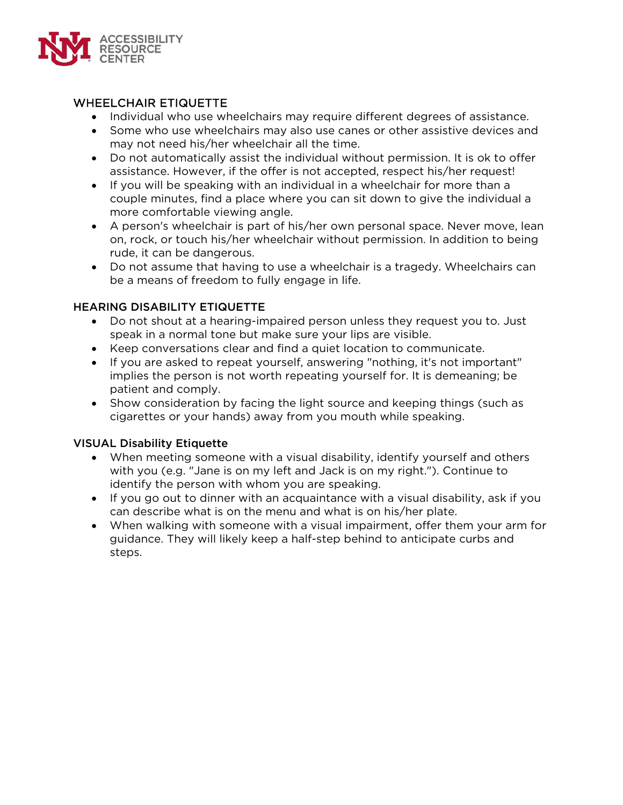

# WHEELCHAIR ETIQUETTE

- Individual who use wheelchairs may require different degrees of assistance.
- Some who use wheelchairs may also use canes or other assistive devices and may not need his/her wheelchair all the time.
- Do not automatically assist the individual without permission. It is ok to offer assistance. However, if the offer is not accepted, respect his/her request!
- If you will be speaking with an individual in a wheelchair for more than a couple minutes, find a place where you can sit down to give the individual a more comfortable viewing angle.
- A person's wheelchair is part of his/her own personal space. Never move, lean on, rock, or touch his/her wheelchair without permission. In addition to being rude, it can be dangerous.
- Do not assume that having to use a wheelchair is a tragedy. Wheelchairs can be a means of freedom to fully engage in life.

# HEARING DISABILITY ETIQUETTE

- Do not shout at a hearing-impaired person unless they request you to. Just speak in a normal tone but make sure your lips are visible.
- Keep conversations clear and find a quiet location to communicate.
- If you are asked to repeat yourself, answering "nothing, it's not important" implies the person is not worth repeating yourself for. It is demeaning; be patient and comply.
- Show consideration by facing the light source and keeping things (such as cigarettes or your hands) away from you mouth while speaking.

# VISUAL Disability Etiquette

- When meeting someone with a visual disability, identify yourself and others with you (e.g. "Jane is on my left and Jack is on my right."). Continue to identify the person with whom you are speaking.
- If you go out to dinner with an acquaintance with a visual disability, ask if you can describe what is on the menu and what is on his/her plate.
- When walking with someone with a visual impairment, offer them your arm for guidance. They will likely keep a half-step behind to anticipate curbs and steps.